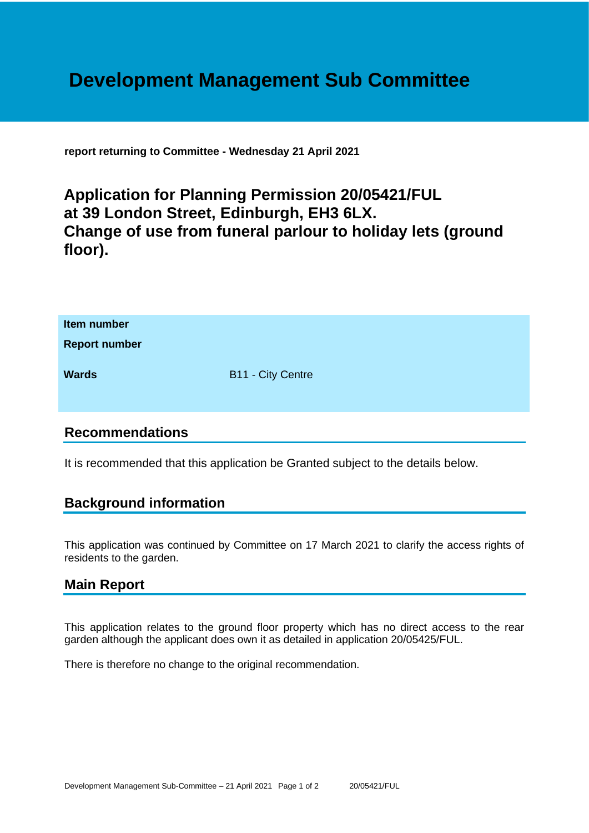# **Development Management Sub Committee**

**report returning to Committee - Wednesday 21 April 2021**

## **Application for Planning Permission 20/05421/FUL at 39 London Street, Edinburgh, EH3 6LX. Change of use from funeral parlour to holiday lets (ground floor).**

| Item number<br><b>Report number</b> |                          |
|-------------------------------------|--------------------------|
| <b>Wards</b>                        | <b>B11 - City Centre</b> |

#### **Recommendations**

It is recommended that this application be Granted subject to the details below.

### **Background information**

This application was continued by Committee on 17 March 2021 to clarify the access rights of residents to the garden.

### **Main Report**

This application relates to the ground floor property which has no direct access to the rear garden although the applicant does own it as detailed in application 20/05425/FUL.

There is therefore no change to the original recommendation.